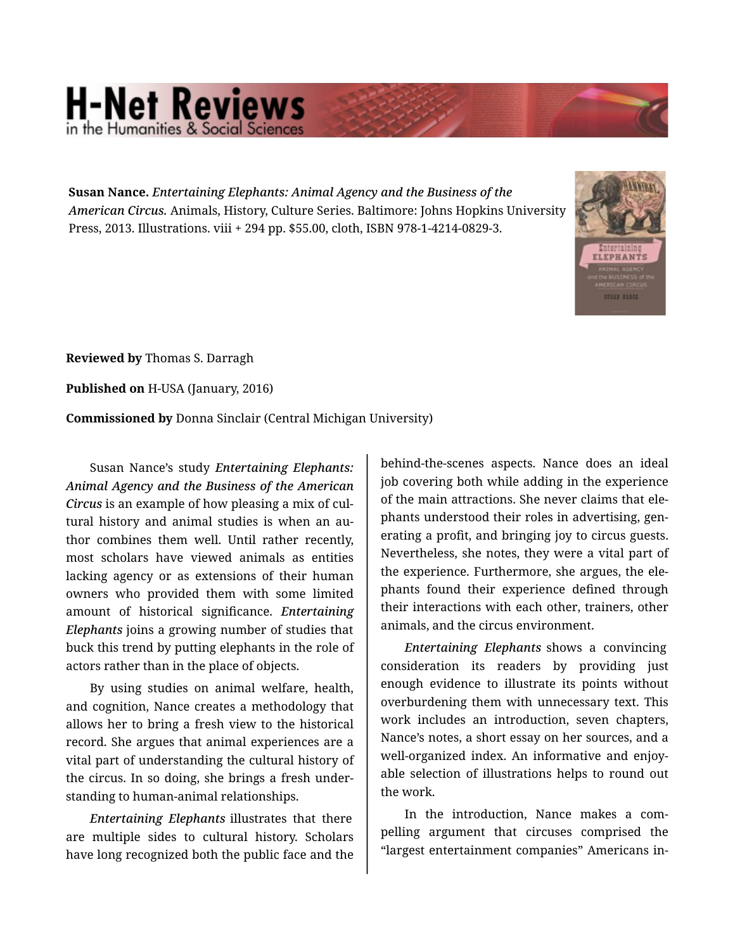## **H-Net Reviews**

**Susan Nance.** *Entertaining Elephants: Animal Agency and the Business of the American Circus.* Animals, History, Culture Series. Baltimore: Johns Hopkins University Press, 2013. Illustrations. viii + 294 pp. \$55.00, cloth, ISBN 978-1-4214-0829-3.



**Reviewed by** Thomas S. Darragh

**Published on** H-USA (January, 2016)

**Commissioned by** Donna Sinclair (Central Michigan University)

Susan Nance's study *Entertaining Elephants: Animal Agency and the Business of the American Circus* is an example of how pleasing a mix of cul‐ tural history and animal studies is when an au‐ thor combines them well. Until rather recently, most scholars have viewed animals as entities lacking agency or as extensions of their human owners who provided them with some limited amount of historical significance. *Entertaining Elephants* joins a growing number of studies that buck this trend by putting elephants in the role of actors rather than in the place of objects.

By using studies on animal welfare, health, and cognition, Nance creates a methodology that allows her to bring a fresh view to the historical record. She argues that animal experiences are a vital part of understanding the cultural history of the circus. In so doing, she brings a fresh under‐ standing to human-animal relationships.

*Entertaining Elephants* illustrates that there are multiple sides to cultural history. Scholars have long recognized both the public face and the

behind-the-scenes aspects. Nance does an ideal job covering both while adding in the experience of the main attractions. She never claims that ele‐ phants understood their roles in advertising, gen‐ erating a profit, and bringing joy to circus guests. Nevertheless, she notes, they were a vital part of the experience. Furthermore, she argues, the ele‐ phants found their experience defined through their interactions with each other, trainers, other animals, and the circus environment.

*Entertaining Elephants* shows a convincing consideration its readers by providing just enough evidence to illustrate its points without overburdening them with unnecessary text. This work includes an introduction, seven chapters, Nance's notes, a short essay on her sources, and a well-organized index. An informative and enjoyable selection of illustrations helps to round out the work.

In the introduction, Nance makes a com‐ pelling argument that circuses comprised the "largest entertainment companies" Americans in‐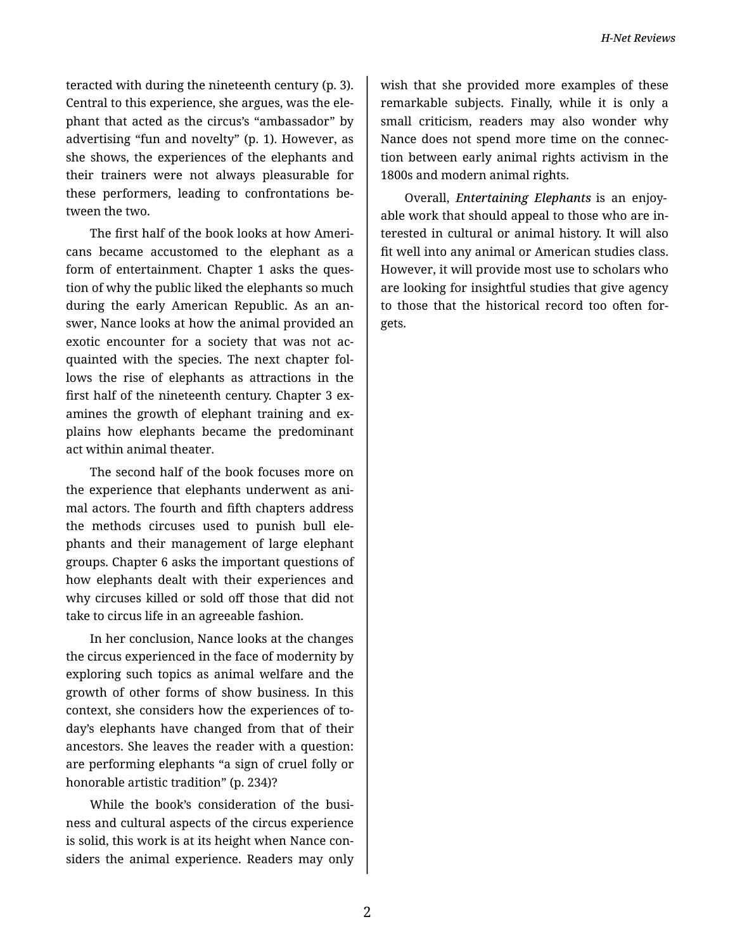teracted with during the nineteenth century (p. 3). Central to this experience, she argues, was the ele‐ phant that acted as the circus's "ambassador" by advertising "fun and novelty" (p. 1). However, as she shows, the experiences of the elephants and their trainers were not always pleasurable for these performers, leading to confrontations be‐ tween the two.

The first half of the book looks at how Ameri‐ cans became accustomed to the elephant as a form of entertainment. Chapter 1 asks the ques‐ tion of why the public liked the elephants so much during the early American Republic. As an an‐ swer, Nance looks at how the animal provided an exotic encounter for a society that was not ac‐ quainted with the species. The next chapter fol‐ lows the rise of elephants as attractions in the first half of the nineteenth century. Chapter 3 examines the growth of elephant training and ex‐ plains how elephants became the predominant act within animal theater.

The second half of the book focuses more on the experience that elephants underwent as ani‐ mal actors. The fourth and fifth chapters address the methods circuses used to punish bull ele‐ phants and their management of large elephant groups. Chapter 6 asks the important questions of how elephants dealt with their experiences and why circuses killed or sold off those that did not take to circus life in an agreeable fashion.

In her conclusion, Nance looks at the changes the circus experienced in the face of modernity by exploring such topics as animal welfare and the growth of other forms of show business. In this context, she considers how the experiences of to‐ day's elephants have changed from that of their ancestors. She leaves the reader with a question: are performing elephants "a sign of cruel folly or honorable artistic tradition" (p. 234)?

While the book's consideration of the business and cultural aspects of the circus experience is solid, this work is at its height when Nance con‐ siders the animal experience. Readers may only

wish that she provided more examples of these remarkable subjects. Finally, while it is only a small criticism, readers may also wonder why Nance does not spend more time on the connec‐ tion between early animal rights activism in the 1800s and modern animal rights.

Overall, *Entertaining Elephants* is an enjoy‐ able work that should appeal to those who are in‐ terested in cultural or animal history. It will also fit well into any animal or American studies class. However, it will provide most use to scholars who are looking for insightful studies that give agency to those that the historical record too often for‐ gets.